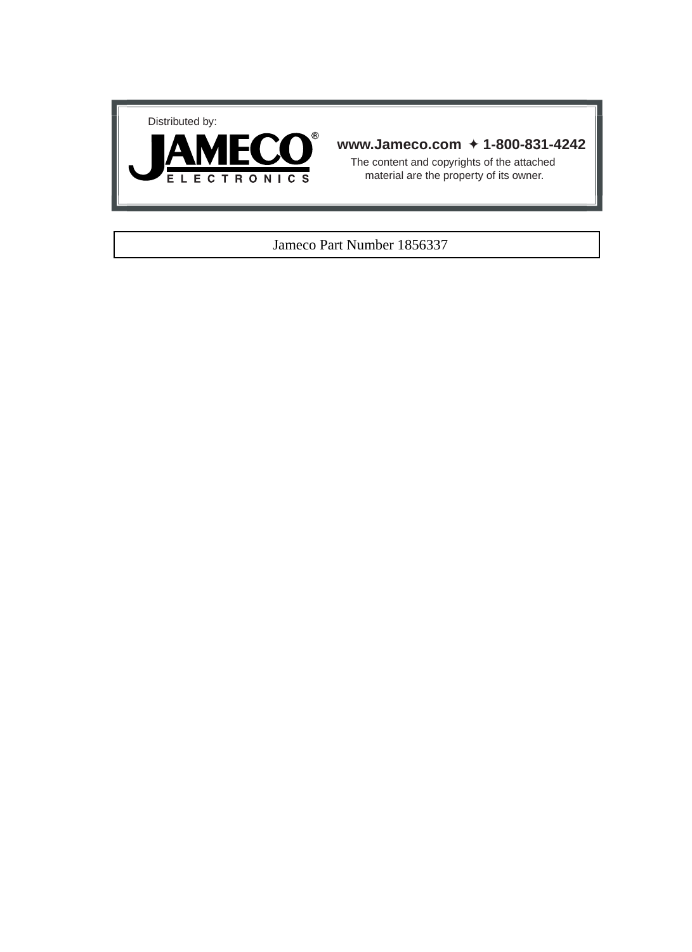



# **www.Jameco.com** ✦ **1-800-831-4242**

The content and copyrights of the attached material are the property of its owner.

# Jameco Part Number 1856337